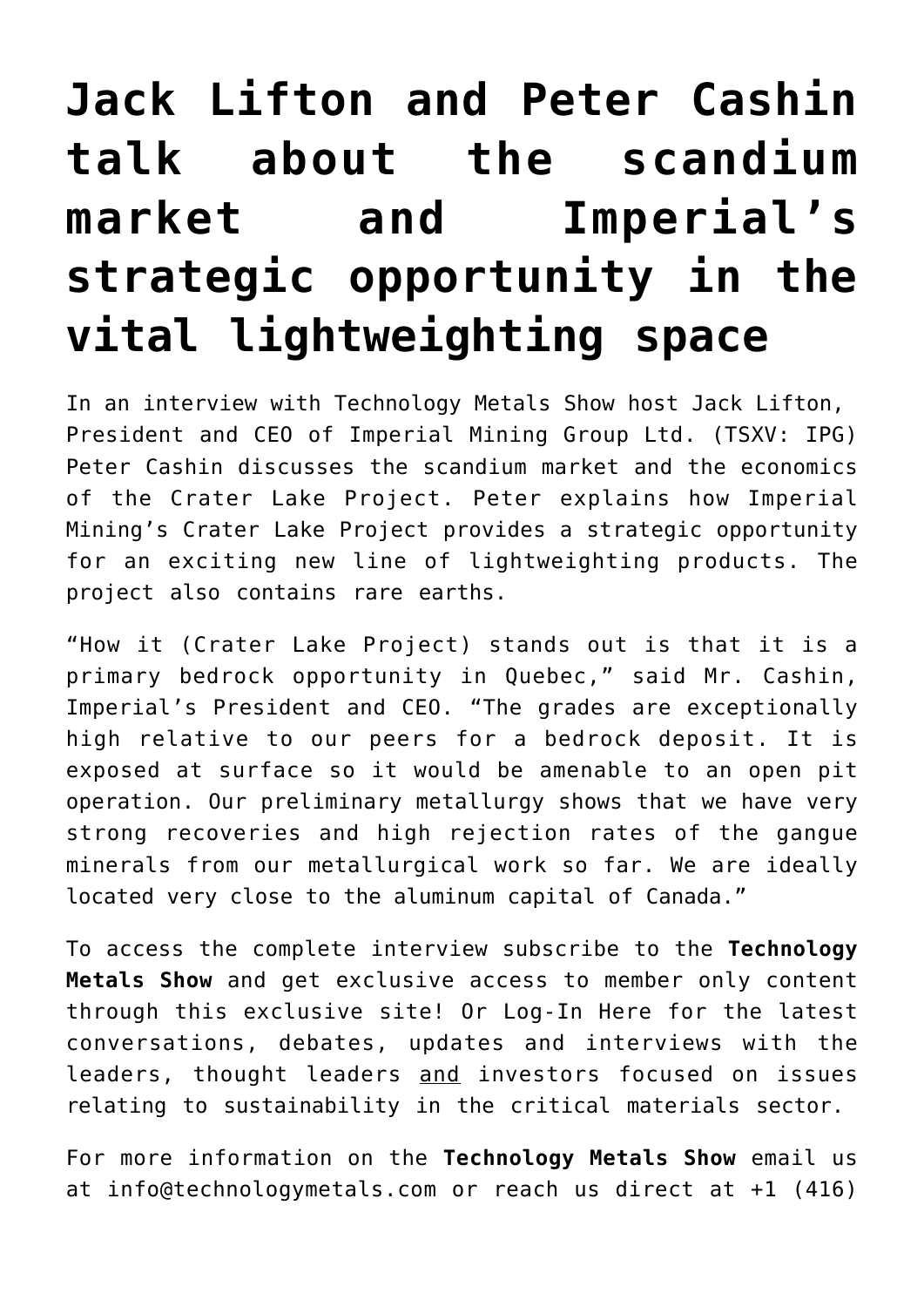## **[Jack Lifton and Peter Cashin](https://investorintel.com/investorintel-video/jack-lifton-and-peter-cashin-on-the-scandium-market-and-imperials-strategic-opportunity-in-the-lightweighting-space/) [talk about the scandium](https://investorintel.com/investorintel-video/jack-lifton-and-peter-cashin-on-the-scandium-market-and-imperials-strategic-opportunity-in-the-lightweighting-space/) [market and Imperial's](https://investorintel.com/investorintel-video/jack-lifton-and-peter-cashin-on-the-scandium-market-and-imperials-strategic-opportunity-in-the-lightweighting-space/) [strategic opportunity in the](https://investorintel.com/investorintel-video/jack-lifton-and-peter-cashin-on-the-scandium-market-and-imperials-strategic-opportunity-in-the-lightweighting-space/) [vital lightweighting space](https://investorintel.com/investorintel-video/jack-lifton-and-peter-cashin-on-the-scandium-market-and-imperials-strategic-opportunity-in-the-lightweighting-space/)**

In an interview with [Technology Metals Show](https://technologymetals.com/) host Jack Lifton, President and CEO of [Imperial Mining Group Ltd.](https://www.imperialmgp.com/) (TSXV: IPG) Peter Cashin discusses the scandium market and the economics of the Crater Lake Project. Peter explains how Imperial Mining's Crater Lake Project provides a strategic opportunity for an exciting new line of lightweighting products. The project also contains rare earths.

"How it (Crater Lake Project) stands out is that it is a primary bedrock opportunity in Quebec," said Mr. Cashin, Imperial's President and CEO. "The grades are exceptionally high relative to our peers for a bedrock deposit. It is exposed at surface so it would be amenable to an open pit operation. Our preliminary metallurgy shows that we have very strong recoveries and high rejection rates of the gangue minerals from our metallurgical work so far. We are ideally located very close to the aluminum capital of Canada."

To access the complete interview [subscribe](https://member.technologymetals.com/register/) to the **[Technology](https://technologymetals.com/) [Metals Show](https://technologymetals.com/)** [a](https://technologymetals.com/)nd get exclusive access to member only content through this exclusive site! Or [Log-In Here](https://member.technologymetals.com/login/) for the latest conversations, debates, updates and interviews with the leaders, thought leaders and investors focused on issues relating to sustainability in the critical materials sector.

For more information on the **[Technology Metals Show](https://technologymetals.com/)** email us at info@technologymetals.com or reach us direct at +1 (416)